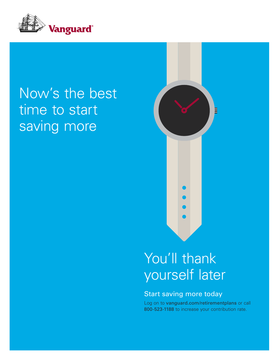

## Now's the best time to start saving more



## You'll thank yourself later

### Start saving more today

Log on to vanguard.com/retirementplans or call 800-523-1188 to increase your contribution rate.